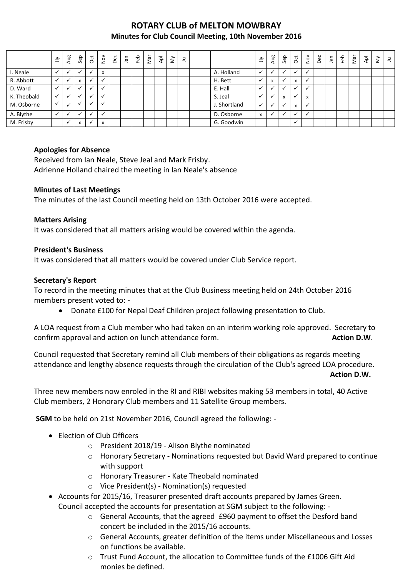# **ROTARY CLUB of MELTON MOWBRAY Minutes for Club Council Meeting, 10th November 2016**

|             | $\preceq$ | Aug | Sep                                    | $\overline{c}$ | $rac{1}{2}$               | Dec | nal | Feb | Nar | $\overline{\mathsf{A}}$ | $\check{\varepsilon}$ | ᆿ |              | $\leq$       | Aug            | Sep | <b>b</b>             | $\stackrel{\textstyle\sim}{\textstyle\sim}$ | Dec | ۵Ē | Feb | Nar | $\overline{\mathsf{A}}$ | ξ | $\exists$ |
|-------------|-----------|-----|----------------------------------------|----------------|---------------------------|-----|-----|-----|-----|-------------------------|-----------------------|---|--------------|--------------|----------------|-----|----------------------|---------------------------------------------|-----|----|-----|-----|-------------------------|---|-----------|
| I. Neale    |           |     |                                        | $\checkmark$   | $\mathbf{v}$<br>$\lambda$ |     |     |     |     |                         |                       |   | A. Holland   |              |                |     |                      | ✔                                           |     |    |     |     |                         |   |           |
| R. Abbott   |           |     | $\mathbf{v}$<br>$\boldsymbol{\lambda}$ | $\checkmark$   |                           |     |     |     |     |                         |                       |   | H. Bett      |              | x              |     | x                    | $\checkmark$                                |     |    |     |     |                         |   |           |
| D. Ward     |           |     |                                        | $\checkmark$   |                           |     |     |     |     |                         |                       |   | E. Hall      |              |                |     |                      | ✔                                           |     |    |     |     |                         |   |           |
| K. Theobald |           |     |                                        | $\checkmark$   |                           |     |     |     |     |                         |                       |   | S. Jeal      |              |                | X   |                      | X                                           |     |    |     |     |                         |   |           |
| M. Osborne  |           |     |                                        |                |                           |     |     |     |     |                         |                       |   | J. Shortland | $\checkmark$ | $\overline{ }$ |     | x                    | $\checkmark$                                |     |    |     |     |                         |   |           |
| A. Blythe   |           |     |                                        | $\checkmark$   |                           |     |     |     |     |                         |                       |   | D. Osborne   | X            | $\overline{ }$ |     |                      | ✔                                           |     |    |     |     |                         |   |           |
| M. Frisby   |           |     | X                                      | $\checkmark$   | $\mathbf{v}$<br>$\lambda$ |     |     |     |     |                         |                       |   | G. Goodwin   |              |                |     | $\ddot{\phantom{0}}$ |                                             |     |    |     |     |                         |   |           |

### **Apologies for Absence**

Received from Ian Neale, Steve Jeal and Mark Frisby. Adrienne Holland chaired the meeting in Ian Neale's absence

### **Minutes of Last Meetings**

The minutes of the last Council meeting held on 13th October 2016 were accepted.

#### **Matters Arising**

It was considered that all matters arising would be covered within the agenda.

### **President's Business**

It was considered that all matters would be covered under Club Service report.

### **Secretary's Report**

To record in the meeting minutes that at the Club Business meeting held on 24th October 2016 members present voted to: -

Donate £100 for Nepal Deaf Children project following presentation to Club.

A LOA request from a Club member who had taken on an interim working role approved. Secretary to confirm approval and action on lunch attendance form. **Action D.W. Action D.W.** 

Council requested that Secretary remind all Club members of their obligations as regards meeting attendance and lengthy absence requests through the circulation of the Club's agreed LOA procedure. **Action D.W.**

Three new members now enroled in the RI and RIBI websites making 53 members in total, 40 Active Club members, 2 Honorary Club members and 11 Satellite Group members.

**SGM** to be held on 21st November 2016, Council agreed the following: -

- Election of Club Officers
	- o President 2018/19 Alison Blythe nominated
	- o Honorary Secretary Nominations requested but David Ward prepared to continue with support
	- o Honorary Treasurer Kate Theobald nominated
	- o Vice President(s) Nomination(s) requested
- Accounts for 2015/16, Treasurer presented draft accounts prepared by James Green. Council accepted the accounts for presentation at SGM subject to the following: -
	- $\circ$  General Accounts, that the agreed £960 payment to offset the Desford band concert be included in the 2015/16 accounts.
	- o General Accounts, greater definition of the items under Miscellaneous and Losses on functions be available.
	- o Trust Fund Account, the allocation to Committee funds of the £1006 Gift Aid monies be defined.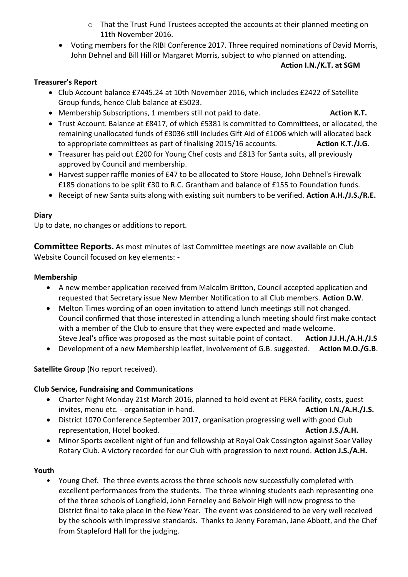- o That the Trust Fund Trustees accepted the accounts at their planned meeting on 11th November 2016.
- Voting members for the RIBI Conference 2017. Three required nominations of David Morris, John Dehnel and Bill Hill or Margaret Morris, subject to who planned on attending.

# **Action I.N./K.T. at SGM**

# **Treasurer's Report**

- Club Account balance £7445.24 at 10th November 2016, which includes £2422 of Satellite Group funds, hence Club balance at £5023.
- **•** Membership Subscriptions, 1 members still not paid to date. **Action K.T.** Action K.T.
- Trust Account. Balance at £8417, of which £5381 is committed to Committees, or allocated, the remaining unallocated funds of £3036 still includes Gift Aid of £1006 which will allocated back to appropriate committees as part of finalising 2015/16 accounts. **Action K.T./J.G**.
- Treasurer has paid out £200 for Young Chef costs and £813 for Santa suits, all previously approved by Council and membership.
- Harvest supper raffle monies of £47 to be allocated to Store House, John Dehnel's Firewalk £185 donations to be split £30 to R.C. Grantham and balance of £155 to Foundation funds.
- Receipt of new Santa suits along with existing suit numbers to be verified. **Action A.H./J.S./R.E.**

# **Diary**

Up to date, no changes or additions to report.

**Committee Reports.** As most minutes of last Committee meetings are now available on Club Website Council focused on key elements: -

## **Membership**

- A new member application received from Malcolm Britton, Council accepted application and requested that Secretary issue New Member Notification to all Club members. **Action D.W**.
- Melton Times wording of an open invitation to attend lunch meetings still not changed. Council confirmed that those interested in attending a lunch meeting should first make contact with a member of the Club to ensure that they were expected and made welcome. Steve Jeal's office was proposed as the most suitable point of contact. **Action J.J.H./A.H./J.S**
- Development of a new Membership leaflet, involvement of G.B. suggested. **Action M.O./G.B**.

# **Satellite Group** (No report received).

## **Club Service, Fundraising and Communications**

- Charter Night Monday 21st March 2016, planned to hold event at PERA facility, costs, guest invites, menu etc. - organisation in hand. **Action I.N./A.H./J.S. Action I.N./A.H./J.S.**
- District 1070 Conference September 2017, organisation progressing well with good Club representation, Hotel booked. **Action J.S./A.H.**
- Minor Sports excellent night of fun and fellowship at Royal Oak Cossington against Soar Valley Rotary Club. A victory recorded for our Club with progression to next round. **Action J.S./A.H.**

## **Youth**

• Young Chef. The three events across the three schools now successfully completed with excellent performances from the students. The three winning students each representing one of the three schools of Longfield, John Ferneley and Belvoir High will now progress to the District final to take place in the New Year. The event was considered to be very well received by the schools with impressive standards. Thanks to Jenny Foreman, Jane Abbott, and the Chef from Stapleford Hall for the judging.